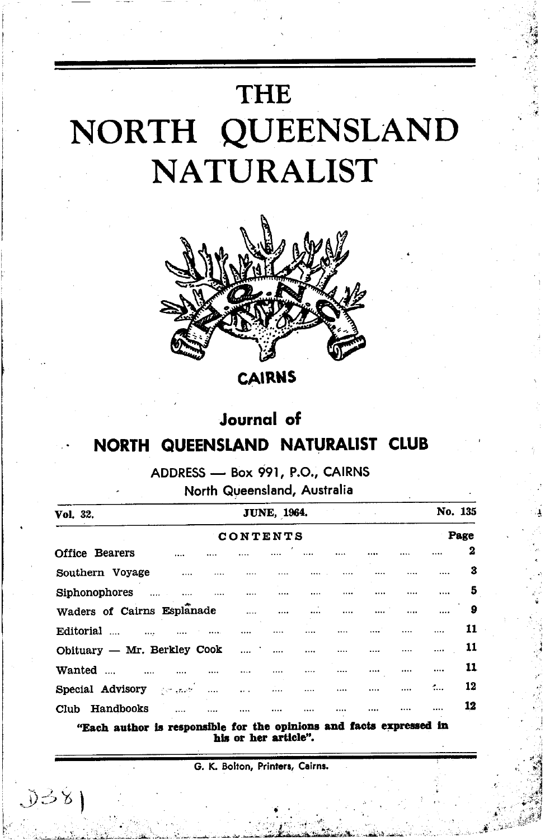

**CAIRNS** 

# **Journal** of

# NORTH QUEENSLAND NATURALIST CLUB

# ADDRESS - Box 991, P.O., CAIRNS

### North Queensland, Australia

| Vol. 32.                                          | <b>JUNE, 1964.</b> |          |                                                |          |          |          | No. 135  |    |  |
|---------------------------------------------------|--------------------|----------|------------------------------------------------|----------|----------|----------|----------|----|--|
| CONTENTS                                          |                    |          |                                                |          |          |          |          |    |  |
| <b>Office Bearers</b>                             |                    |          |                                                |          | $\cdots$ |          |          | 2  |  |
| Southern Voyage<br>$\sim$ 1000 $\sim$             |                    |          |                                                |          |          |          |          | 3  |  |
| Siphonophores                                     |                    |          |                                                | $\cdots$ |          |          |          | 5  |  |
| Waders of Cairns Esplanade                        |                    |          | البينة المتناد المتناد المتناد المتناد المتناد |          |          |          |          | 9  |  |
| Editorial<br>$\cdots$                             |                    | $\cdots$ |                                                |          | $\cdots$ | $\cdots$ | $\cdots$ | 11 |  |
| Obituary - Mr. Berkley Cook                       | and the main       |          | $\cdots$ $\cdots$                              |          | $\cdots$ |          | $\cdots$ | 11 |  |
| Wanted<br>$\sim$ $\sim$ $\sim$ $\sim$<br>$\cdots$ |                    |          |                                                |          |          | $\cdots$ | $\cdots$ | 11 |  |
| Special Advisory Control<br>$\sim$ 1000 $\sim$    | $\cdots$           |          |                                                |          |          |          | ÷.       | 12 |  |
| Handbooks<br>Club                                 |                    |          |                                                |          |          |          |          | 12 |  |

"Each author is responsible for the opinions and facts expressed in his or her article".

G. K. Bolton, Printers, Cairns.

 $D381$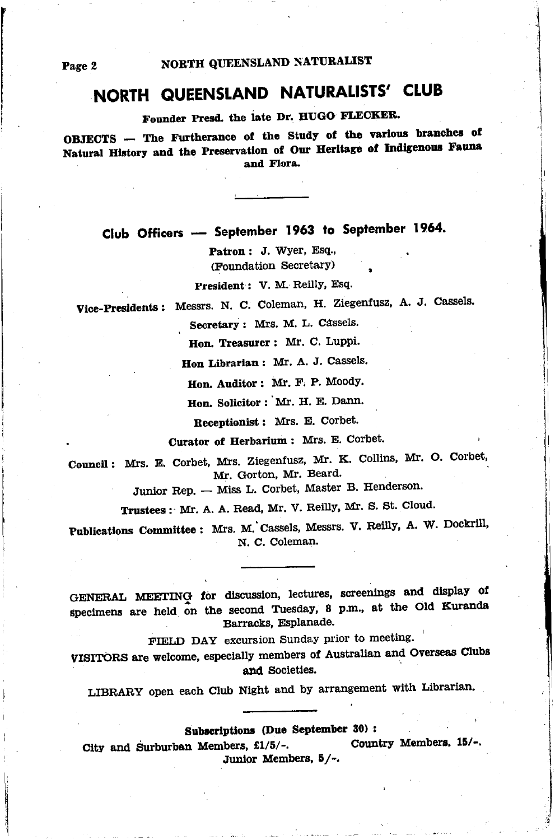# NORTH QUEENSLAND NATURALISTS' CLUB

Founder Presd. the late Dr. HUGO FLECKER.

OBJECTS - The Furtherance of the Study of the various branches of Natural History and the Preservation of Our Heritage of Indigenous Fauna and Flora.

Club Officers - September 1963 to September 1964.

Patron: J. Wyer, Esq., (Foundation Secretary)

President: V. M. Reilly, Esq.

Vice-Presidents: Messrs. N. C. Coleman, H. Ziegenfusz. A. J. Cassels.

Secretary: Mrs. M. L. Cassels.

Hon. Treasurer: Mr. C. Luppi.

Hon Librarian : Mr. A. J. Cassels.

Hon. Auditor: Mr. F. P. Moodv.

Hon. Solicitor : Mr. H. E. Dann.

Receptionist: Mrs. E. Corbet.

Curator of Herbarium: Mrs. E. Corbet.

Council: Mrs. E. Corbet. Mrs. Ziegenfusz. Mr. K. Collins, Mr. O. Corbet, Mr. Gorton, Mr. Beard.

Junior Rep. - Miss L. Corbet, Master B. Henderson.

Trustees : Mr. A. A. Read, Mr. V. Reilly, Mr. S. St. Cloud.

Publications Committee: Mrs. M. Cassels, Messrs. V. Reilly, A. W. Dockrill, N. C. Coleman.

GENERAL MEETING for discussion, lectures, screenings and display of specimens are held on the second Tuesday, 8 p.m., at the Old Kuranda Barracks, Esplanade.

FIELD DAY excursion Sunday prior to meeting.

VISITORS are welcome, especially members of Australian and Overseas Clubs and Societies.

LIBRARY open each Club Night and by arrangement with Librarian.

### Subscriptions (Due September 30) :

Country Members, 15/-. City and Surburban Members, £1/5/-. Junior Members, 5/-.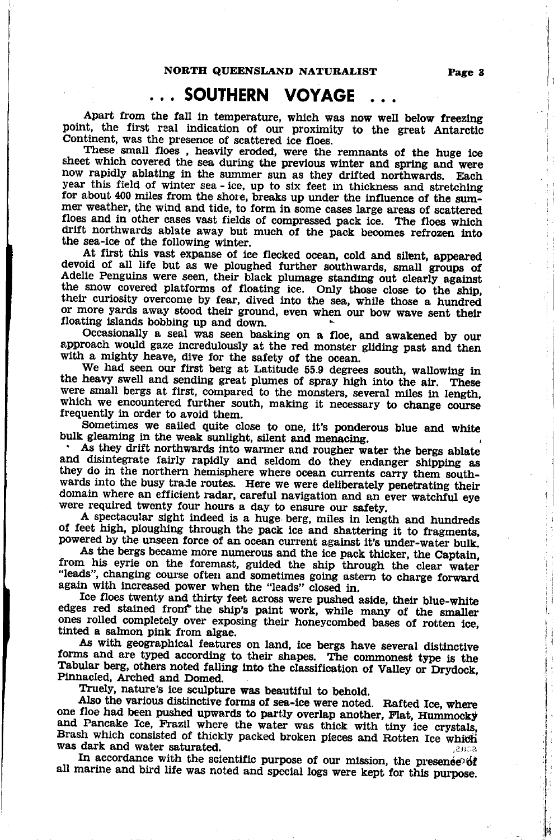### SOUTHERN VOYAGE

Apart from the fall in temperature, which was now well below freezing point, the first real indication of our proximity to the great Antarctic Continent, was the presence of scattered ice floes. These small floes, heavily

sheet which covered the sea during the previous winter and spring and were now rapidly ablating in the summer sun as they drifted northwards. Each year this field of winter sea - ice, up to six feet in thickness and stretching for about 400 miles from the shore, breaks up under the influence of the summer weather, the wind and tide, to form in some cases large areas floes and in other cases vast fields of compressed pack ice. The floes which drift northwards ablate away but much of the pack becomes refrozen into the sea-ice of the following winter. At first this vast expanse of ice fl

the snow covered platforms of floating ice. Only those close to the ship, their curiosity overcome by fear, dived into the sea, while those a hundred or more yards away stood their ground, even when our bow wave sent their floating islands bobbing up and down.

Occasionally a seal was seen basking on a floe, and awakened by our approach would gaze incredulously at the red monster gliding past and then with a mighty heave, dive for the safety of the ocean. We had seen our first berg at Latitude 55.9 degrees south, wallowing in

the heavy swell and sending great plumes of spray high into the air. These were small bergs at first, compared to the monsters, several miles in length, which we encountered further south, making it necessary to change course frequently in order to avoid them.

Sometimes we sailed quite close to one, it's ponderous blue and white bulk gleaming in the weak sunlight, silent and menacing.<br>As they drift northwards into warmer and rougher water the bergs ablate

and disintegrate fairly rapidly and seldom do they endanger shipping as they do in the northern hemisphere where ocean currents carry them southwards into the busy trade routes. Here we were deliberately penetrating their

were required twenty four hours a day to ensure our safety. of feet high, ploughing through the pack ice and shattering it to fragments, powered by the unseen force of an ocean current against it's under-water bulk. As the bergs became more numerous and the ice pack thicker, the Ca

from his eyrie on the foremast, guided the ship through the clear water "leads", changing course often and sometimes going astern to charge forward<br>again with increased power when the "leads" closed in.<br>Ice floes twenty and thirty feet across were pushed aside, their blue-white

Ice floes twenty and thirty feet across were pushed aside, their blue-white edges red stained from the ship's paint work, while many of the smaller ones rolled completely over exposing their honeycombed bases of rotten ice, tinted a salmon pink from algae.

forms and are typed according to their shapes. The commonest type is the Tabular berg, others noted falling into the classification of Valley or Drydock,<br>Pinnacled, Arched and Domed.<br>Truely, nature's ice sculpture was beautiful to behold.<br>Also the various distinctive forms of sea-ice were noted

one floe had been pushed upwards to partly overlap another, Flat, Hummocky and Pancake Ice, Frazil where the water was thick with tiny ice crystals, Brash which consisted of thickly packed broken pieces and Rotten Ice which was dark and water saturated.

In accordance with the scientific purpose of our mission, the presentered in all mariue and bird life was noted and special logs were kept for this purpose.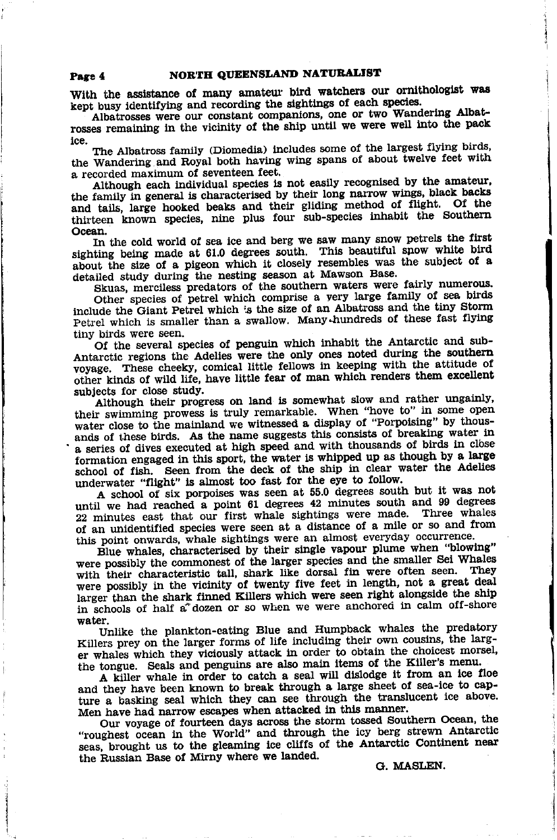With the assistance of many amateur bird watchers our ornithologist was kept busy identifying and recording the sightings of each species.

Albatrosses were our constant companions, one or two Wandering Albatrosses remaining in the vicinity of the ship until we were well into the pack ice.

The Albatross family (Diomedia) includes some of the largest flying birds, the Wandering and Royal both having wing spans of about twelve feet with a recorded maximum of seventeen feet.

Although each individual species is not easily recognised by the amateur. the family in general is characterised by their long narrow wings, black backs and tails, large hooked beaks and their gliding method of flight. Of the thirteen known species, nine plus four sub-species inhabit the Southern Ocean.

In the cold world of sea ice and berg we saw many snow petrels the first sighting being made at 61.0 degrees south. This beautiful show white bird about the size of a pigeon which it closely resembles was the subject of a detailed study during the nesting season at Mawson Base.

Skuas, merciless predators of the southern waters were fairly numerous.

Other species of petrel which comprise a very large family of sea birds include the Giant Petrel which is the size of an Albatross and the tiny Storm Petrel which is smaller than a swallow. Many-hundreds of these fast flying tiny birds were seen.

Of the several species of penguin which inhabit the Antarctic and sub-Antarctic regions the Adelies were the only ones noted during the southern voyage. These cheeky, comical little fellows in keeping with the attitude of other kinds of wild life, have little fear of man which renders them excellent subjects for close study.

Although their progress on land is somewhat slow and rather ungainly, their swimming prowess is truly remarkable. When "hove to" in some open water close to the mainland we witnessed a display of "Porpoising" by thousands of these birds. As the name suggests this consists of breaking water in a series of dives executed at high speed and with thousands of birds in close formation engaged in this sport, the water is whipped up as though by a large school of fish. Seen from the deck of the ship in clear water the Adelies underwater "flight" is almost too fast for the eye to follow.

A school of six porpoises was seen at 55.0 degrees south but it was not until we had reached a point 61 degrees 42 minutes south and 99 degrees 22 minutes east that our first whale sightings were made. Three whales of an unidentified species were seen at a distance of a mile or so and from this point onwards, whale sightings were an almost everyday occurrence.

Blue whales, characterised by their single vapour plume when "blowing" were possibly the commonest of the larger species and the smaller Sei Whales with their characteristic tall, shark like dorsal fin were often seen. They were possibly in the vicinity of twenty five feet in length, not a great deal larger than the shark finned Killers which were seen right alongside the ship in schools of half a dozen or so when we were anchored in calm off-shore water.

Unlike the plankton-cating Blue and Humpback whales the predatory Killers prey on the larger forms of life including their own cousins, the larger whales which they viciously attack in order to obtain the choicest morsel, the tongue. Seals and penguins are also main items of the Killer's menu.

A killer whale in order to catch a seal will dislodge it from an ice floe and they have been known to break through a large sheet of sea-ice to capture a basking seal which they can see through the translucent ice above. Men have had narrow escapes when attacked in this manner.

Our voyage of fourteen days across the storm tossed Southern Ocean, the "roughest ocean in the World" and through the icy berg strewn Antarctic seas, brought us to the gleaming ice cliffs of the Antarctic Continent near the Russian Base of Mirny where we landed.

G. MASLEN.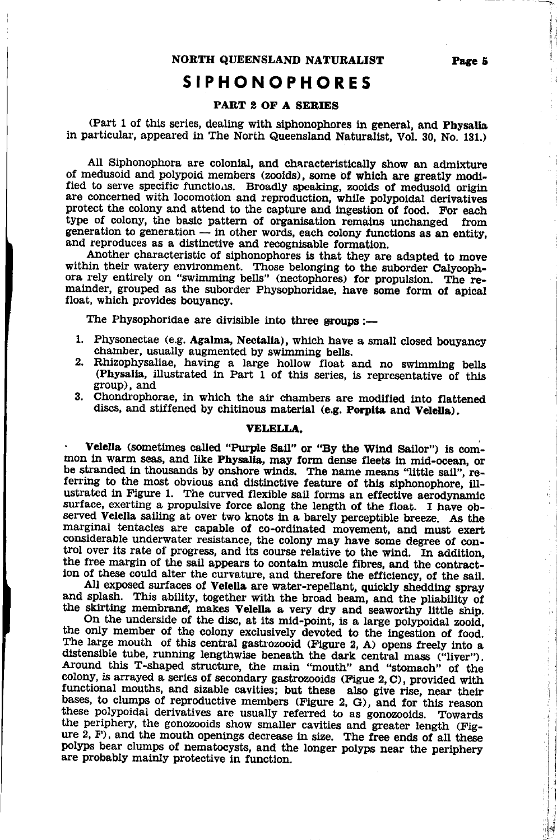### SIPHONOPHORES

#### PART 2 OF A SERIES

(Part 1 of this series, dealing with siphonophores in general, and Physalia in particular, appeared in The North Queensland Naturalist, Vol. 30, No. 131.)

All Siphonophora are colonial, and characteristically show an admixture of medusoid and polypoid members (zooids), some of which are greatly modified to serve specific functions. Broadly speaking, zooids of medusoid origin are concerned with locomotion and reproducfion, whlte polypoidal derivatives protect the colony and attend to the capture and ingestion of food. For each type of colony, the basic pattern of organisation remains unchanged from generation to generation  $-$  in other words, each colony fund<br>and reproduces as a distinctive and recognisable formation. generation to generation  $-$  in other words, each colony functions as an entity,

Another characteristic of siphonophores is that they are adapted to move within their watery environment. Those belonging to the suborder Calycophora rely entirely on "swimming bells" (nectophores) for propulsion. The remainder, grouped as the suborder Physophoridae, have some form of apical float, which provides bouyancy.

The Physophoridae are divisible into three groups  $:$ --

- 1. Physonectae (e.g. Agalma, Nectalia), which have a small closed bouyancy chamber, usually augmented by swimming bells.
- 2. Rhizophysaliae, having a large hollow float and no swimming bells (Physalia, illustrated in Part 1 of this series, is representative of this group), and 3. Chondrophorae, in which the air chambers are modified into flat
- discs, and stiffened by chitinous material (e.g. Porpita and Velella).

#### VELELLA.

Velella (sometimes called "Purple Sail" or "By the Wind Sailor") is common in warm seas, and like Physalia, may form dense fleets in mid-ocean, or be stranded in thousands by onshore winds. The name means "little sail", referring to the most obvious and distinctive feature of this siphonophore, illustrated in Figure 1. The curved flexible sail forms an effective aerodynamic surface, exerting a propulsive force along the length of the float. I have observed Velella sailing at over two knots in a barely perceptible breeze. As the marginal tentacles are capable of co-ordinated movement, and must exert considerable underwater resistance, the colony may have some degree of control over its rate of progress, and its course relative to the wind. In addition, the free margin of the spil approar to contain murals filters and the addition,

the free margin of the sail appears to contain muscle fibres, and the contraction of these could alter the curvature, and therefore the efficiency, of the sail.<br>All exposed surfaces of **Velella** are water-repellant, quickl

the skirting membrane, makes Velella a very dry and seaworthy little ship.<br>On the underside of the disc, at its mid-point, is a large polypoidal zooid,<br>the only member of the colony exclusively devoted to the ingestion of The large mouth of this central gastrozooid (Figure 2, A) opens freely into a distensible tube, running lengthwise beneath the dark central mass ("liver"). Around this T-shaped structure, the main "mouth" and "stomach" of the colony, is arrayed a series of secondary gastrozooids (Figue 2, C), provided with functional mouths, and sizable cavities; but these also give rise, near their bases, to clumps of reproductive members (Figure 2, G), and for this reason these polypoidal derivatives are usually referred to as gonozooids. Towards<br>the periphery, the gonozooids show smaller cavities and greater length (Fig-<br>ure 2, F), and the mouth openings decrease in size. The free ends of polyps bear clumps of nematocysts, and the longer polyps near the periphery are probably mainly protective in funetion.

il

l

Ч  $\mathcal{G}^{\mathcal{A}}$ 

;1'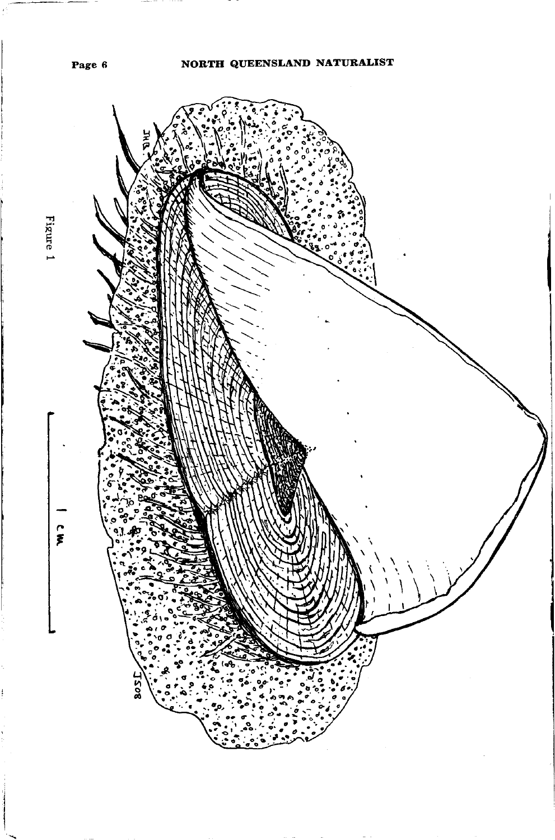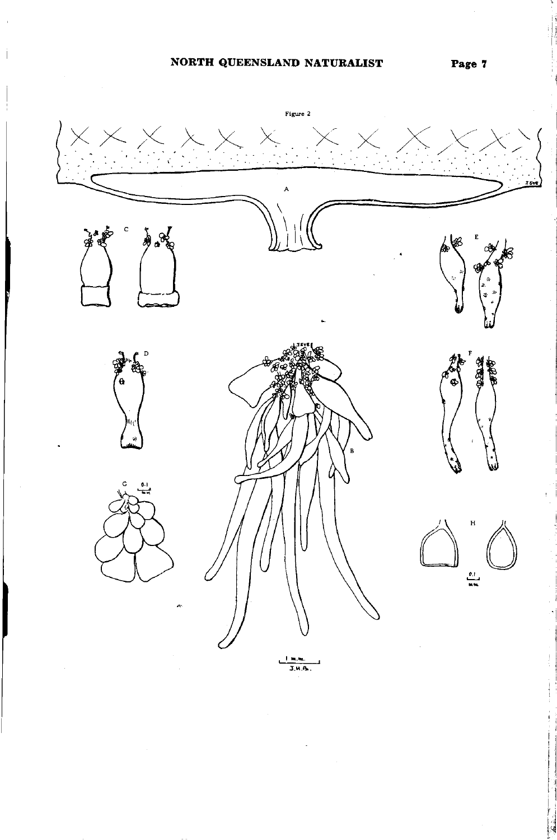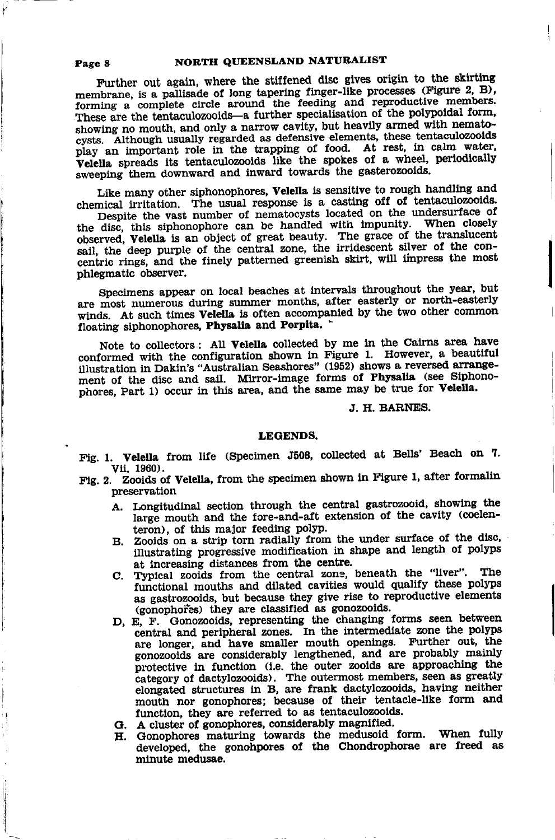Further out again, where the stiffened disc gives origin to the skirting membrane, is a pallisade of long tapering finger-like processes (Figure 2, B). forming a complete circle around the feeding and reproductive members. These are the tentaculozooids-a further specialisation of the polypoidal form, showing no mouth, and only a narrow cavity, but heavily armed with nematocysts. Although usually regarded as defensive elements, these tentaculozooids play an important role in the trapping of food. At rest, in calm water, Velella spreads its tentaculozooids like the spokes of a wheel, periodically sweeping them downward and inward towards the gasterozooids.

Like many other siphonophores, Velella is sensitive to rough handling and chemical irritation. The usual response is a casting off of tentaculozooids.

Despite the vast number of nematocysts located on the undersurface of the disc, this siphonophore can be handled with impunity. When closely observed. Velella is an object of great beauty. The grace of the translucent sail, the deep purple of the central zone, the irridescent silver of the concentric rings, and the finely patterned greenish skirt, will impress the most phlegmatic observer.

Specimens appear on local beaches at intervals throughout the year, but are most numerous during summer months, after easterly or north-easterly winds. At such times Velella is often accompanied by the two other common floating siphonophores, Physalia and Porpita.

Note to collectors: All Velella collected by me in the Cairns area have conformed with the configuration shown in Figure 1. However, a beautiful illustration in Dakin's "Australian Seashores" (1952) shows a reversed arrangement of the disc and sail. Mirror-image forms of Physalia (see Siphonophores, Part 1) occur in this area, and the same may be true for Velella.

#### J. H. BARNES.

#### **LEGENDS.**

Fig. 1. Velella from life (Specimen J508, collected at Bells' Beach on 7. Vii. 1960).

- Fig. 2. Zooids of Velella, from the specimen shown in Figure 1, after formalin preservation
	- A. Longitudinal section through the central gastrozooid, showing the large mouth and the fore-and-aft extension of the cavity (coelenteron), of this major feeding polyp.
	- B. Zooids on a strip torn radially from the under surface of the disc, illustrating progressive modification in shape and length of polyps at increasing distances from the centre.
	- C. Typical zooids from the central zone, beneath the "liver". The functional mouths and dilated cavities would qualify these polyps as gastrozooids, but because they give rise to reproductive elements (gonophores) they are classified as gonozooids.
	- D, E, F. Gonozooids, representing the changing forms seen between central and peripheral zones. In the intermediate zone the polyps are longer, and have smaller mouth openings. Further out, the gonozooids are considerably lengthened, and are probably mainly<br>protective in function (i.e. the outer zooids are approaching the<br>category of dactylozooids). The outermost members, seen as greatly<br>elongated structures in B mouth nor gonophores; because of their tentacle-like form and function, they are referred to as tentaculozooids.
	- G. A cluster of gonophores, considerably magnified.
	- H. Gonophores maturing towards the medusoid form. When fully developed, the gonohpores of the Chondrophorae are freed as minute medusae.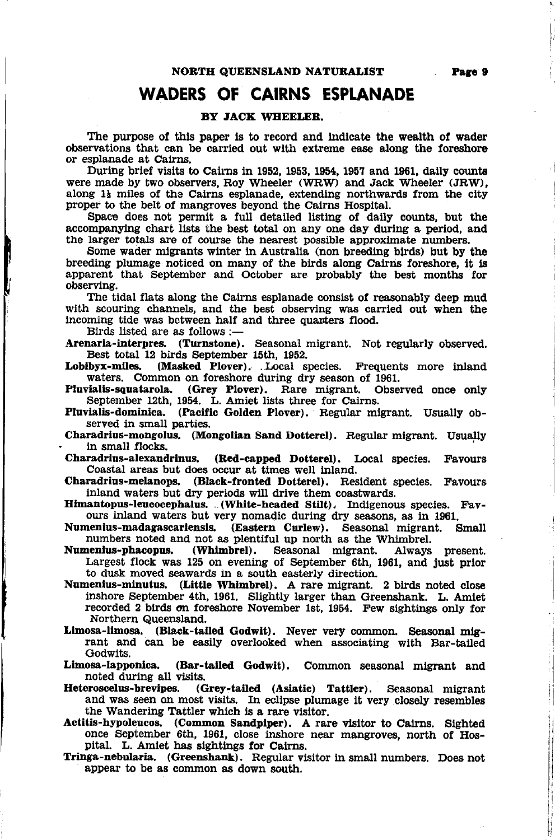# WADERS OF CAIRNS ESPLANADE

#### BY JACK WHEELER.

The purpose of this paper is to record and indicate the wealth of wader observations that can be carried out with extreme ease along the foreshore or esplanade at, Cairns.

During brief visits to Cairns in 1952, 1953, 1954, 1957 and 1961, daily counts were made by two observers, Roy Wheeler (WRW) and Jack Wheeler (JRW), along  $1<sub>1</sub>$  miles of the Cairns esplanade, extending northwards from the city proper to the belt of mangroves beyond the Cairns Hospital.

Space does not permit a full detailed listing of daily counts, but the accompanying chart lists the best total on any one day during a period, and the larger totals are of course the nearest possible approxlmate numbers.

Some weder migrants winter in Australia (non breeding birds) but by the breeding plumage notieed on many of the birds along Calrns foreshore, it ls apparent that September and October are probably the best months for observing.

The tidal flats along the Cairns esplanade consist ot reasonably deep mud with scouring channels, and the best observing was carried out when the lncoming tide was bctween half and three quanters flood.

Birds listed are as follows :-

Arenaria-interpres. (Turnstone). Seasonal migrant. Not regularly observed, Best total 12 birds September 15th, 1952.<br>Lobibyx-miles. (Masked Plover). Local s

(Masked Plover). ..Local species. Frequents more inland waters. Common on foreshore during dry season of 1961,

Pluvialis-squatarola. (Grey Plover). Rare migrant. Observed once only September 12th, 1954. L. Amiet lists three for Cairns.

Pluvialis-dominica. (Pacific Golden Plover). Regular migrant. Usually observed in small parties.

Charadrius-mongolus. (Mongolian Sand Dotterel). Regular migrant. Usually in small flocks.

Charadrius-alexandrinus. (Red-capped Dotterel). Local species. Favours Coastal areas but does occur at times well inland.

Charadrius-nelanops. (Black-fronted Dotterel). Resident species. Favours inland waters but dry periods will drive them coastwards.

Himantopus-leucocephalus. ..(White-headed Stilt). Indigenous species. Favours inland waters but very nomadic during dry seasons, as in 1961.

Numenius-madagascariensis. (Eastern Curlew). Seasonal migrant. Small numbers noted and not as plentiful up north as the Whimbrel.<br>Numenius-phacopus. (Whimbrel). Seasonal migrant. Always present.

Seasonal migrant. Largest flock was 125 on evening of September 6th, 1961, and just prior to dusk moved seawards in a south easterly direction.

Numenius-minutus. (Little Whlmbrel). A rare mlgrant. 2 birds noted close inshore September 4th, 1961. Slightly larger than Greenshank. L. Amiet recorded 2 birds on foreshore November 1st, 1954. Few sightings only for Northern Queenslsnd.

Limosa-limosa. (Black-tailed Godwit). Never very common. Seasonal mig-<br>rant and can be easily overlooked when associating with Bar-tailed Godwits.

Limosa-lapponica. (Bar-tailed Godwit). Common seasonal migrant and noted during all visits.<br>Heteroscelus-brevipes. (G

(Grey-tailed (Asiatic) Tattler). Seasonal migrant and was seen on most visits. In eclipse plumage it very closely resembles the Wandering Tattler which is a rare visitor.

Actitis-hypoleucos. (Common Sandpiper). A rare visitor to Cairns. Sighted once September 6th, 1961, close inshore near mangroves, north of Hos- pital. L. Amiet has sightings for Cairns. pital. L. Amiet has sightings for Cairns.<br>Tringa-nebularia. (Greenshank). Regular visitor in small numbers. Does not

appear to be as common as down south.

it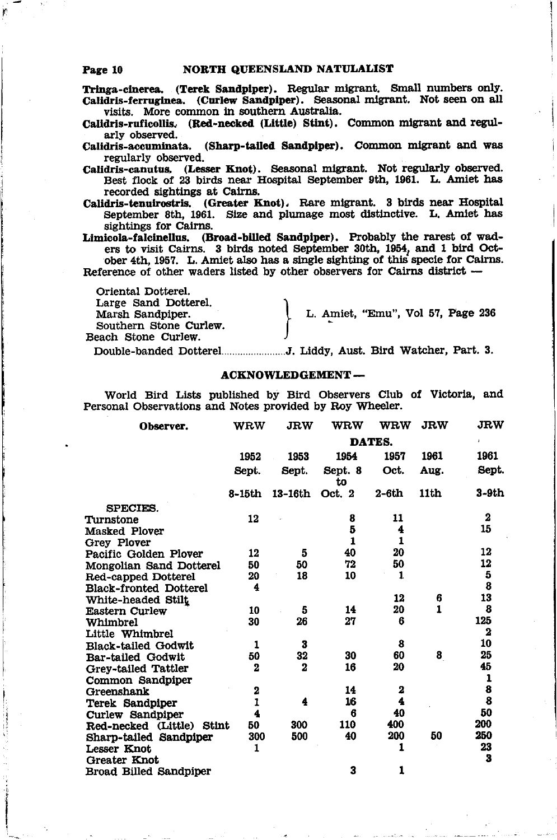#### NORTH QUEENSLAND NATULALIST Page 10

Tringa-cinerea. (Terek Sandpiper). Regular migrant. Small numbers only. Calidris-ferruginea. (Curlew Sandpiper). Seasonal migrant. Not seen on all visits. More common in southern Australia.

Calidris-ruficollis. (Red-necked (Little) Stint). Common migrant and regularly observed.

Calidris-accuminata. (Sharp-tailed Sandpiper). Common migrant and was regularly observed.

Calidris-canutus. (Lesser Knot). Seasonal migrant. Not regularly observed. Best flock of 23 birds near Hospital September 9th, 1961. L. Amiet has recorded sightings at Cairns.

Calidris-tenuirostris. (Greater Knot). Rare migrant. 3 birds near Hospital September 8th, 1961. Size and plumage most distinctive. L. Amiet has sightings for Cairns.

Limicola-falcinellus. (Broad-billed Sandpiper). Probably the rarest of waders to visit Cairns. 3 birds noted September 30th, 1954, and 1 bird October 4th, 1957. L. Amiet also has a single sighting of this specie for Cairns. Reference of other waders listed by other observers for Cairns district --

Oriental Dotterel. Large Sand Dotterel. Marsh Sandpiper. Southern Stone Curlew. Beach Stone Curlew.

L. Amiet, "Emu", Vol 57, Page 236

#### **ACKNOWLEDGEMENT-**

World Bird Lists published by Bird Observers Club of Victoria, and Personal Observations and Notes provided by Roy Wheeler.

| Observer.                     | <b>WRW</b>  | <b>JRW</b>  | <b>WRW</b>    | <b>WRW</b> | <b>JRW</b>   | <b>JRW</b>                                                            |  |  |  |  |
|-------------------------------|-------------|-------------|---------------|------------|--------------|-----------------------------------------------------------------------|--|--|--|--|
|                               |             |             | <b>DATES.</b> |            |              |                                                                       |  |  |  |  |
|                               | 1952        | 1953        | 1954          | 1957       | 1961         | 1961                                                                  |  |  |  |  |
|                               | Sept.       | Sept.       | Sept. 8<br>to | Oct.       | Aug.         | Sept.                                                                 |  |  |  |  |
|                               | 8-15th      | 13-16th     | Oct. 2        | 2-6th      | 11th         | 3-9th                                                                 |  |  |  |  |
| SPECIES.                      |             |             |               |            |              |                                                                       |  |  |  |  |
| Turnstone                     | 12          |             | 8             | 11         |              | $\bf{2}$                                                              |  |  |  |  |
| Masked Plover                 |             |             | 5             | 4          |              | 15                                                                    |  |  |  |  |
| Grey Plover                   |             |             | $\mathbf{1}$  | 1          |              |                                                                       |  |  |  |  |
| Pacific Golden Plover         | 12          | 5           | 40            | 20         |              | 12                                                                    |  |  |  |  |
| Mongolian Sand Dotterel       | 50          | 50          | 72            | 50         |              | 12                                                                    |  |  |  |  |
| Red-capped Dotterel           | 20          | 18          | 10            | 1          |              | $\frac{5}{8}$                                                         |  |  |  |  |
| <b>Black-fronted Dotterel</b> | 4           |             |               |            |              |                                                                       |  |  |  |  |
| White-headed Stilt            |             |             |               | 12         | 6            | 13                                                                    |  |  |  |  |
| Eastern Curlew                | 10          | 5           | 14            | 20         | $\mathbf{1}$ | 8                                                                     |  |  |  |  |
| Whimbrel                      | 30          | 26          | 27            | 6          |              | 125                                                                   |  |  |  |  |
| Little Whimbrel               |             |             |               |            |              | $\mathbf{z}$                                                          |  |  |  |  |
| Black-tailed Godwit           | 1           | 3           |               | 8          |              | 10                                                                    |  |  |  |  |
| Bar-tailed Godwit             | 50          | 32          | 30            | 60         | 8            | 25                                                                    |  |  |  |  |
| Grey-tailed Tattler           | $\mathbf 2$ | $\mathbf 2$ | 16            | 20         |              | 45                                                                    |  |  |  |  |
| Common Sandpiper              |             |             |               |            |              |                                                                       |  |  |  |  |
| Greenshank                    | 2           |             | 14            | 2          |              | $\begin{array}{c} \textbf{1} \\ \textbf{8} \\ \textbf{8} \end{array}$ |  |  |  |  |
| Terek Sandpiper               | 1           | 4           | 16            | 4          |              |                                                                       |  |  |  |  |
| Curlew Sandpiper              | 4           |             | 6             | 40         |              | 50                                                                    |  |  |  |  |
| Red-necked (Little) Stint     | 50          | 300         | 110           | 400        |              | 200                                                                   |  |  |  |  |
| Sharp-tailed Sandpiper        | 300         | 500         | 40            | 200        | 50           | 250                                                                   |  |  |  |  |
| Lesser Knot                   | 1           |             |               | 1          |              | 23                                                                    |  |  |  |  |
| Greater Knot                  |             |             |               |            |              | 3                                                                     |  |  |  |  |
| Broad Billed Sandpiper        |             |             | 3             | 1          |              |                                                                       |  |  |  |  |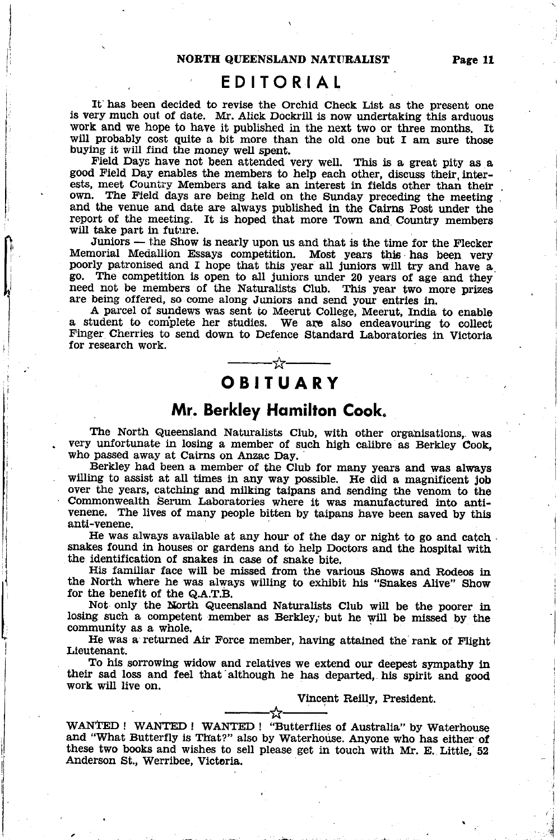### EDITORIAL

It has been decided to revise the Orchid Check List as the present one is very much out of date. Mr. Alick Dockrill is now undertaking this arduous work and we hope to have it published in the next two or three months. It will probably cost quite a bit more than the old one but I am sure those buying it will find the money well spent.<br>Field Days have not been attended very well. This is a great pity as a

good Field Day enables the members to help each other, discuss their, interests, meet Couniry Members and take an interest in fields other than their own. The Field days are being held on the Sunday preceding the meeting and the venue and date are always published in the Cairns post under the report of the meeting. It is hoped that more Town and Country members wiU take part in future.

Juniors — the Show is nearly upon us and that is the time for the Flecker Memorial Medallion Essays competition. Most years this has been very poorly patronised and I hope that this year all juniors will try and have a go. The competition is open to all juniors under 20 years of age and they need not be members of the Naturalists Club. This year two more prizes are being offered, so come along Juniors and send your entries in.

A parcel of sundews was sent to Meerut College, Meerut, India to enable a student to complete her studies. We are also endeavouring to collect Finger Cherries to send down to Defence Standard Laboratories in Victoria for research work.

I

# **OBITUARY**

# Mr. Berkley Homilton Cook.

The North Queensland Naturalists Club, with other organisations, was very unfortunate in losing a member of such high calibre as Berkley Cook, who passed away at Cairns on Anzac Day.

Berkley had been a member of the Club for many years and was always willing to assist at all times in any way possible. He did a magnificent job over the years, catching and milking taipans and sending the venom to the Commonwealth Serum Laboratories where it was manufactured into antivenene. The lives of many people bitten by taipans have been saved by this anti-venene.

He was always available at any hour of the day or night to go and catch. snakes found in houses or gardens and to help Doctors and the hospital with the identification of snakes in case of snake bite.<br>His familiar face will be missed from the various Shows and Rodeos in

the North where he was always willing to exhibit his "Snakes Alive" Show for the benefit of the Q.A.T.B.<br>Not only the North Queensland Naturalists Club will be the poorer in

losing such a competent member as Berkley, but he will be missed by the community as a whole.

He was a returned Air Force member, having attained the rank of Flight

Lieutenant.<br>To his sorrowing widow and relatives we extend our deepest sympathy in their sad loss and feel that although he has departed, his spirit and good work will live on.

Vincent Reilly, President.

these two books and wishes to sell please get in touch with Mr. E. Little, 52<br>Anderson St., Womibes Wishers WANTED ! WANTED ! WANTED ! "Butterflies of Australia" by Waterhouse and "What Butterfly is That?" also by Waterhouse. Anyone who has either of Andersou St., Werribee, Victoria.